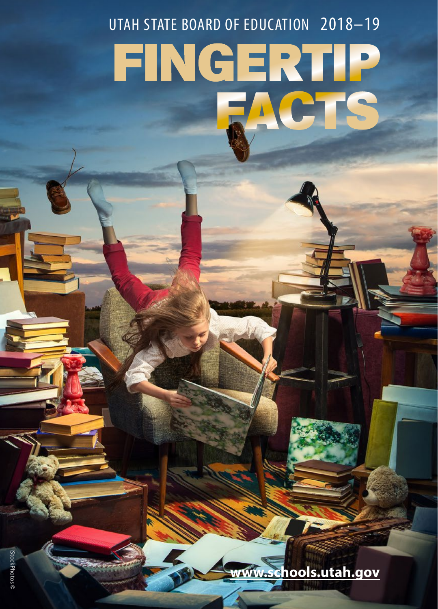#### UTAH STATE BOARD OF EDUCATION 2018–19

# FINGERTIP FACTS

**<www.schools.utah.gov>**

iStockPhotos ©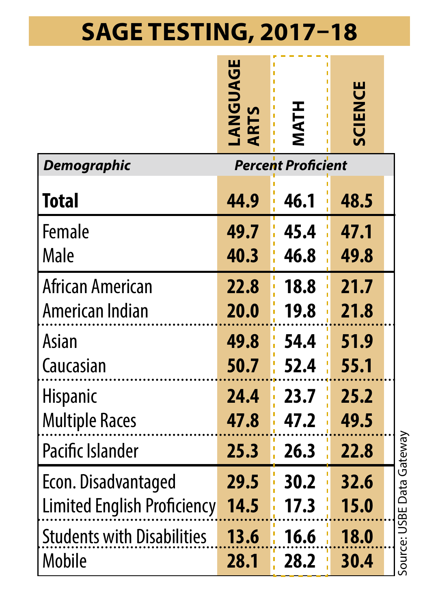# **SAGE TESTING, 2017–18**

|                                   | <b>LANGUAGE</b><br>ARTS | <b>MATH</b>               | <b>SCIENCE</b> |                           |
|-----------------------------------|-------------------------|---------------------------|----------------|---------------------------|
| Demographic                       |                         | <b>Percent Proficient</b> |                |                           |
| Total                             | 44.9                    | 46.1                      | 48.5           |                           |
| Female                            | 49.7                    | 45.4                      | 47.1           |                           |
| Male                              | 40.3                    | 46.8                      | 49.8           |                           |
| African American                  | 22.8                    | 18.8                      | 21.7           |                           |
| American Indian                   | 20.0                    | 19.8                      | 21.8           |                           |
| Asian                             | 49.8                    | 54.4                      | 51.9           |                           |
| Caucasian                         | 50.7                    | 52.4                      | 55.1           |                           |
| <b>Hispanic</b>                   | 24.4                    | 23.7                      | 25.2           |                           |
| <b>Multiple Races</b>             | 47.8                    | 47.2                      | 49.5           |                           |
| Pacific Islander                  | 25.3                    | 26.3                      | 22.8           | Source: USBE Data Gateway |
| Econ. Disadvantaged               | 29.5                    | 30.2                      | 32.6           |                           |
| Limited English Proficiency       | 14.5                    | 17.3                      | 15.0           |                           |
| <b>Students with Disabilities</b> | 13.6                    | 16.6                      | 18.0           |                           |
| Mobile                            | 28.1                    | 28.2                      | 30.4           |                           |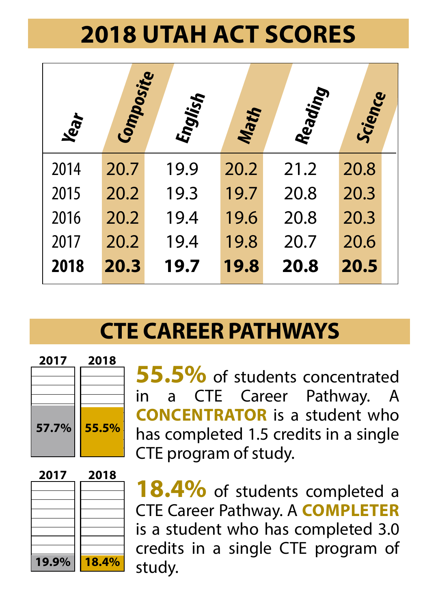# **2018 UTAH ACT SCORES**

| Year | <b>Composite</b> | English | <b>Math</b> | Reading | Science |  |
|------|------------------|---------|-------------|---------|---------|--|
| 2014 | 20.7             | 19.9    | 20.2        | 21.2    | 20.8    |  |
| 2015 | 20.2             | 19.3    | 19.7        | 20.8    | 20.3    |  |
| 2016 | 20.2             | 19.4    | 19.6        | 20.8    | 20.3    |  |
| 2017 | 20.2             | 19.4    | 19.8        | 20.7    | 20.6    |  |
| 2018 | 20.3             | 19.7    | 19.8        | 20.8    | 20.5    |  |

#### **CTE CAREER PATHWAYS**



**55.5%** of students concentrated<br>in a CTE Career Pathway. A a CTE Career Pathway. A **CONCENTRATOR** is a student who has completed 1.5 credits in a single CTE program of study.



18.4% of students completed a CTE Career Pathway. A **COMPLETER** is a student who has completed 3.0 credits in a single CTE program of study.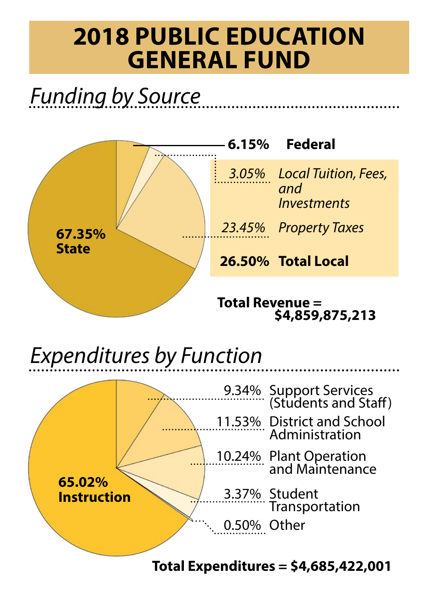## **2018 PUBLIC EDUCATION GENERAL FUND**

# *Funding by Source*



# *Expenditures by Function*



#### **Total Expenditures = \$4,685,422,001**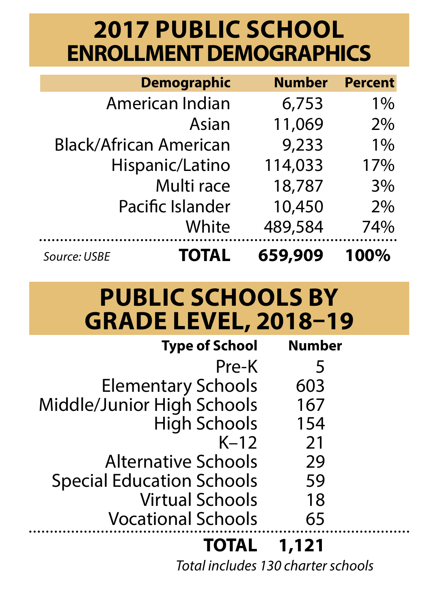## **2017 PUBLIC SCHOOL ENROLLMENT DEMOGRAPHICS**

|                        | <b>Demographic</b> | <b>Number</b> | <b>Percent</b> |
|------------------------|--------------------|---------------|----------------|
|                        | American Indian    | 6.753         | $1\%$          |
|                        | Asian              | 11,069        | 2%             |
| Black/African American |                    | 9.233         | 1%             |
|                        | Hispanic/Latino    | 114,033       | 17%            |
|                        | Multi race         | 18.787        | 3%             |
|                        | Pacific Islander   | 10,450        | 2%             |
|                        | White              | 489,584       | 74%            |
| Source: USBE           | <b>TOTAL</b>       | 659.909       | 100%           |

#### **PUBLIC SCHOOLS BY GRADE LEVEL, 2018–19**

| <b>Type of School</b>            | Number |
|----------------------------------|--------|
| Pre-K                            | 5      |
| Elementary Schools               | 603    |
| Middle/Junior High Schools       | 167    |
| <b>High Schools</b>              | 154    |
| $K-12$                           | 21     |
| <b>Alternative Schools</b>       | 29     |
| <b>Special Education Schools</b> | 59     |
| <b>Virtual Schools</b>           | 18     |
| <b>Vocational Schools</b>        | 65     |
| <b>TOTAL</b>                     | 1,121  |

*Total includes 130 charter schools*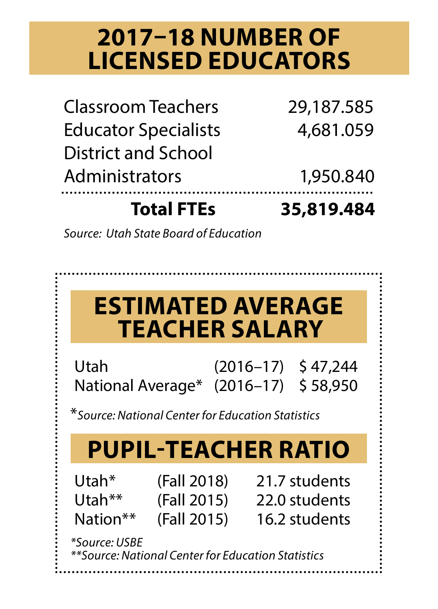## **2017–18 NUMBER OF LICENSED EDUCATORS**

| <b>Total FTEs</b>           | 35,819.484 |
|-----------------------------|------------|
| Administrators              | 1,950.840  |
| <b>District and School</b>  |            |
| <b>Educator Specialists</b> | 4.681.059  |
| Classroom Teachers          | 29,187.585 |

*Source: Utah State Board of Education*

|                                                                     | <b>ESTIMATED AVERAGE</b><br><b>TEACHER SALARY</b>                                         |  |                                                 |
|---------------------------------------------------------------------|-------------------------------------------------------------------------------------------|--|-------------------------------------------------|
| Utah                                                                | National Average* (2016-17) \$58,950<br>*Source: National Center for Education Statistics |  | $(2016 - 17)$ \$47.244                          |
|                                                                     | <b>PUPIL-TEACHER RATIO</b>                                                                |  |                                                 |
| Utah*<br>Utah**<br>Nation**                                         | (Fall 2018)<br>(Fall 2015)<br>(Fall 2015)                                                 |  | 21.7 students<br>22.0 students<br>16.2 students |
| *Source: USBE<br>**Source: National Center for Education Statistics |                                                                                           |  |                                                 |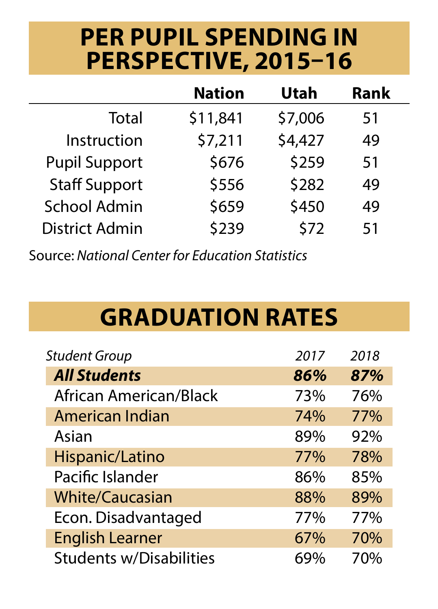## **PER PUPIL SPENDING IN PERSPECTIVE, 2015–16**

|                      | Nation   | Utah    | Rank |
|----------------------|----------|---------|------|
| Total                | \$11,841 | \$7,006 | 51   |
| Instruction          | \$7,211  | \$4,427 | 49   |
| <b>Pupil Support</b> | \$676    | \$259   | 51   |
| <b>Staff Support</b> | \$556    | \$282   | 49   |
| School Admin         | \$659    | \$450   | 49   |
| District Admin       | \$239    | \$72    | 51   |

Source: *National Center for Education Statistics*

# **GRADUATION RATES**

| <b>Student Group</b>           | 2017 | 2018 |
|--------------------------------|------|------|
| <b>All Students</b>            | 86%  | 87%  |
| African American/Black         | 73%  | 76%  |
| American Indian                | 74%  | 77%  |
| Asian                          | 89%  | 92%  |
| Hispanic/Latino                | 77%  | 78%  |
| Pacific Islander               | 86%  | 85%  |
| <b>White/Caucasian</b>         | 88%  | 89%  |
| Econ. Disadvantaged            | 77%  | 77%  |
| <b>English Learner</b>         | 67%  | 70%  |
| <b>Students w/Disabilities</b> | 69%  | 70%  |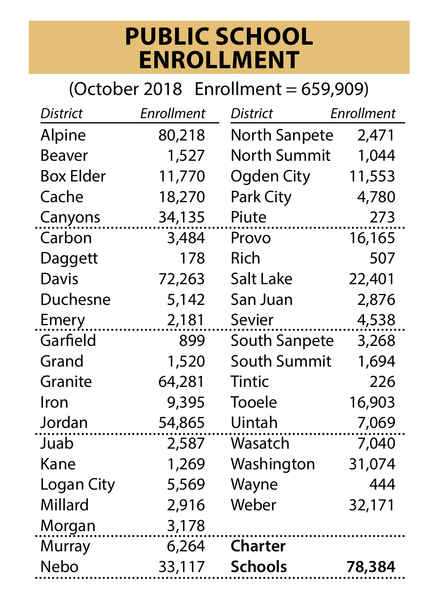#### **PUBLIC SCHOOL ENROLLMENT**

#### (October 2018 Enrollment = 659,909)

| Alpine<br>80,218<br>North Sanpete<br>North Summit<br>Beaver<br>1,527<br><b>Box Elder</b><br>11,770<br>Ogden City<br>11,553 | 2,471<br>1,044<br>4,780<br>273 |
|----------------------------------------------------------------------------------------------------------------------------|--------------------------------|
|                                                                                                                            |                                |
|                                                                                                                            |                                |
|                                                                                                                            |                                |
| Cache<br>Park City<br>18,270                                                                                               |                                |
| 34,135<br>Canyons<br>Piute                                                                                                 |                                |
| Carbon<br>16,165<br>3,484<br>Provo                                                                                         |                                |
| 178<br>Rich<br>Daggett                                                                                                     | 507                            |
| Salt Lake<br>Davis<br>72,263<br>22,401                                                                                     |                                |
| Duchesne<br>5,142<br>San Juan                                                                                              | 2,876                          |
| Sevier<br>2,181<br>Emery                                                                                                   | 4,538                          |
| Garfield<br>899<br>South Sanpete                                                                                           | 3,268                          |
| South Summit<br>Grand<br>1,520                                                                                             | 1,694                          |
| Granite<br>Tintic<br>64,281                                                                                                | 226                            |
| Tooele<br>Iron<br>9,395<br>16,903                                                                                          |                                |
| Jordan<br>54,865<br>Uintah                                                                                                 | 7,069                          |
| Juab<br>2,587<br>Wasatch                                                                                                   | 7,040                          |
| Kane<br>1,269<br>Washington<br>31,074                                                                                      |                                |
| Wayne<br>5,569<br>Logan City                                                                                               | 444                            |
| Millard<br>Weber<br>2,916<br>32,171                                                                                        |                                |
| 3,178<br>Morgan                                                                                                            |                                |
| Murray<br>6,264<br>Charter                                                                                                 |                                |
| Nebo<br>33,117<br>Schools<br>78,384                                                                                        |                                |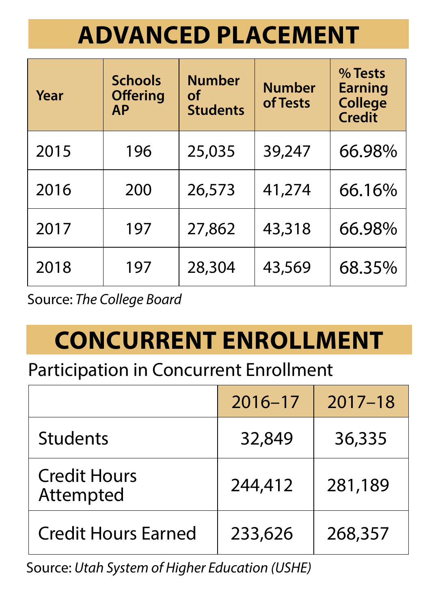# **ADVANCED PLACEMENT**

| Year | <b>Schools</b><br><b>Offering</b><br>AP | <b>Number</b><br>of<br><b>Students</b> | <b>Number</b><br>of Tests | % Tests<br><b>Earning</b><br><b>College</b><br>Credit |
|------|-----------------------------------------|----------------------------------------|---------------------------|-------------------------------------------------------|
| 2015 | 196                                     | 25,035                                 | 39,247                    | 66.98%                                                |
| 2016 | 200                                     | 26,573                                 | 41,274                    | 66.16%                                                |
| 2017 | 197                                     | 27,862                                 | 43,318                    | 66.98%                                                |
| 2018 | 197                                     | 28,304                                 | 43,569                    | 68.35%                                                |

Source: *The College Board*

# **CONCURRENT ENROLLMENT**

#### Participation in Concurrent Enrollment

|                                  | $2016 - 17$ | $2017 - 18$ |
|----------------------------------|-------------|-------------|
| Students                         | 32,849      | 36,335      |
| <b>Credit Hours</b><br>Attempted | 244,412     | 281,189     |
| Credit Hours Farned              | 233,626     | 268,357     |

Source: *Utah System of Higher Education (USHE)*